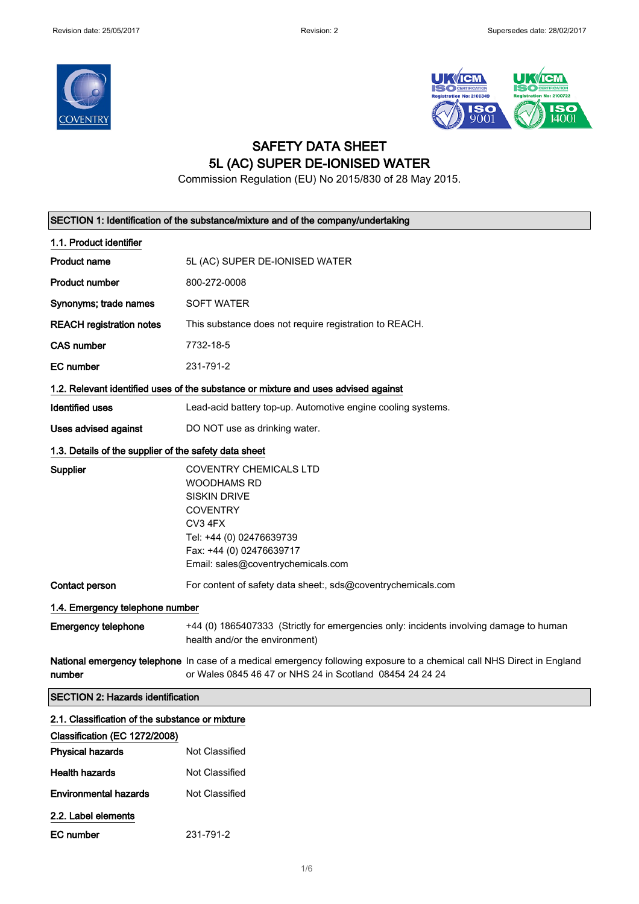



## SAFETY DATA SHEET 5L (AC) SUPER DE-IONISED WATER

Commission Regulation (EU) No 2015/830 of 28 May 2015.

|                                                       | SECTION 1: Identification of the substance/mixture and of the company/undertaking                                                                                                                      |  |
|-------------------------------------------------------|--------------------------------------------------------------------------------------------------------------------------------------------------------------------------------------------------------|--|
| 1.1. Product identifier                               |                                                                                                                                                                                                        |  |
| <b>Product name</b>                                   | 5L (AC) SUPER DE-IONISED WATER                                                                                                                                                                         |  |
| <b>Product number</b>                                 | 800-272-0008                                                                                                                                                                                           |  |
| Synonyms; trade names                                 | <b>SOFT WATER</b>                                                                                                                                                                                      |  |
| <b>REACH registration notes</b>                       | This substance does not require registration to REACH.                                                                                                                                                 |  |
| <b>CAS number</b>                                     | 7732-18-5                                                                                                                                                                                              |  |
| <b>EC</b> number                                      | 231-791-2                                                                                                                                                                                              |  |
|                                                       | 1.2. Relevant identified uses of the substance or mixture and uses advised against                                                                                                                     |  |
| <b>Identified uses</b>                                | Lead-acid battery top-up. Automotive engine cooling systems.                                                                                                                                           |  |
| Uses advised against                                  | DO NOT use as drinking water.                                                                                                                                                                          |  |
| 1.3. Details of the supplier of the safety data sheet |                                                                                                                                                                                                        |  |
| <b>Supplier</b>                                       | <b>COVENTRY CHEMICALS LTD</b><br><b>WOODHAMS RD</b><br><b>SISKIN DRIVE</b><br><b>COVENTRY</b><br>CV3 4FX<br>Tel: +44 (0) 02476639739<br>Fax: +44 (0) 02476639717<br>Email: sales@coventrychemicals.com |  |
| Contact person                                        | For content of safety data sheet:, sds@coventrychemicals.com                                                                                                                                           |  |
| 1.4. Emergency telephone number                       |                                                                                                                                                                                                        |  |
| <b>Emergency telephone</b>                            | +44 (0) 1865407333 (Strictly for emergencies only: incidents involving damage to human<br>health and/or the environment)                                                                               |  |
| number                                                | National emergency telephone In case of a medical emergency following exposure to a chemical call NHS Direct in England<br>or Wales 0845 46 47 or NHS 24 in Scotland 08454 24 24 24                    |  |
| <b>SECTION 2: Hazards identification</b>              |                                                                                                                                                                                                        |  |
| 2.1. Classification of the substance or mixture       |                                                                                                                                                                                                        |  |
| Classification (EC 1272/2008)                         |                                                                                                                                                                                                        |  |
| <b>Physical hazards</b>                               | Not Classified                                                                                                                                                                                         |  |
| <b>Health hazards</b>                                 | Not Classified                                                                                                                                                                                         |  |
| <b>Environmental hazards</b>                          | Not Classified                                                                                                                                                                                         |  |
| 2.2. Label elements                                   |                                                                                                                                                                                                        |  |
| <b>EC</b> number                                      | 231-791-2                                                                                                                                                                                              |  |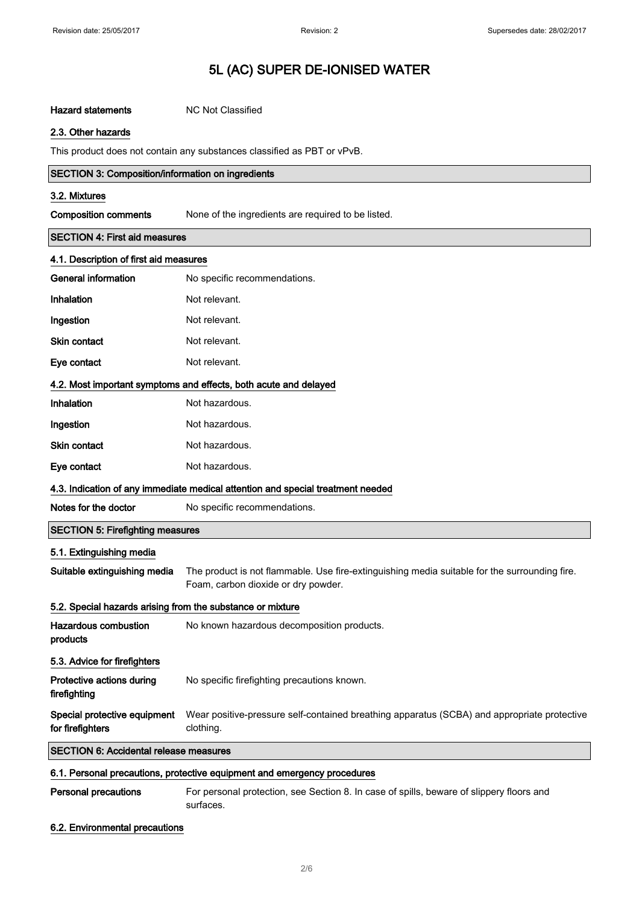### Hazard statements MC Not Classified

### 2.3. Other hazards

This product does not contain any substances classified as PBT or vPvB.

|                                        | <b>SECTION 3: Composition/information on ingredients</b> |  |
|----------------------------------------|----------------------------------------------------------|--|
| 3.2. Mixtures                          |                                                          |  |
| <b>Composition comments</b>            | None of the ingredients are required to be listed.       |  |
| <b>SECTION 4: First aid measures</b>   |                                                          |  |
| 4.1. Description of first aid measures |                                                          |  |
| General information                    | No specific recommendations.                             |  |
| Inhalation                             | Not relevant.                                            |  |
| Ingestion                              | Not relevant.                                            |  |
| <b>Skin contact</b>                    | Not relevant.                                            |  |

### 4.2. Most important symptoms and effects, both acute and delayed

| Inhalation   | Not hazardous. |
|--------------|----------------|
| Ingestion    | Not hazardous. |
| Skin contact | Not hazardous. |
| Eye contact  | Not hazardous. |

Eye contact Not relevant.

### 4.3. Indication of any immediate medical attention and special treatment needed

| Notes for the doctor | No specific recommendations. |  |
|----------------------|------------------------------|--|
|----------------------|------------------------------|--|

| <b>SECTION 5: Firefighting measures</b>                    |                                                                                                                                      |
|------------------------------------------------------------|--------------------------------------------------------------------------------------------------------------------------------------|
| 5.1. Extinguishing media                                   |                                                                                                                                      |
| Suitable extinguishing media                               | The product is not flammable. Use fire-extinguishing media suitable for the surrounding fire.<br>Foam, carbon dioxide or dry powder. |
| 5.2. Special hazards arising from the substance or mixture |                                                                                                                                      |
| Hazardous combustion<br>products                           | No known hazardous decomposition products.                                                                                           |
| 5.3. Advice for firefighters                               |                                                                                                                                      |
| Protective actions during<br>firefighting                  | No specific firefighting precautions known.                                                                                          |

#### Special protective equipment for firefighters Wear positive-pressure self-contained breathing apparatus (SCBA) and appropriate protective clothing.

SECTION 6: Accidental release measures

### 6.1. Personal precautions, protective equipment and emergency procedures

### Personal precautions For personal protection, see Section 8. In case of spills, beware of slippery floors and surfaces.

### 6.2. Environmental precautions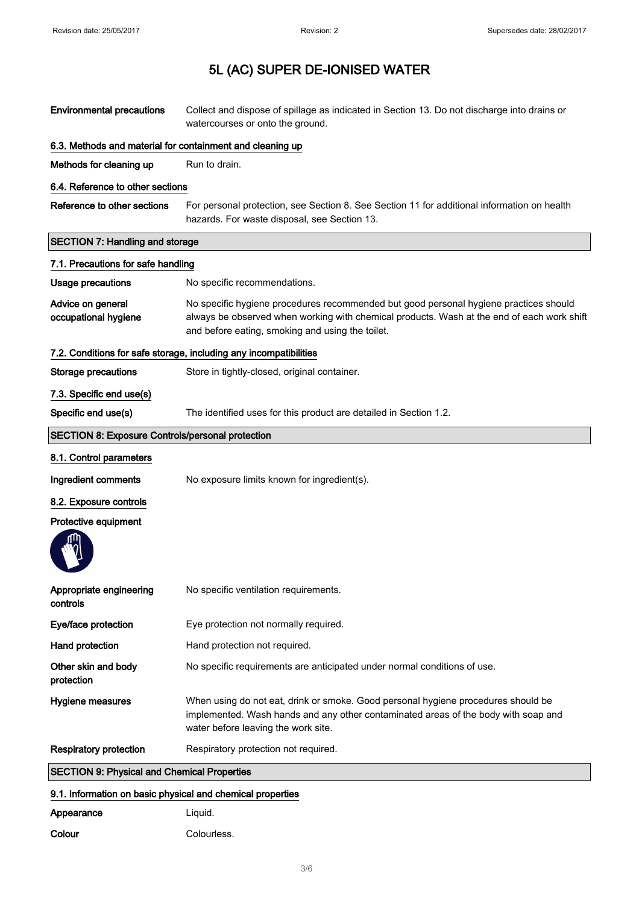| <b>Environmental precautions</b>                                  | Collect and dispose of spillage as indicated in Section 13. Do not discharge into drains or<br>watercourses or onto the ground.                                                                                                         |  |
|-------------------------------------------------------------------|-----------------------------------------------------------------------------------------------------------------------------------------------------------------------------------------------------------------------------------------|--|
|                                                                   | 6.3. Methods and material for containment and cleaning up                                                                                                                                                                               |  |
| Methods for cleaning up                                           | Run to drain.                                                                                                                                                                                                                           |  |
| 6.4. Reference to other sections                                  |                                                                                                                                                                                                                                         |  |
| Reference to other sections                                       | For personal protection, see Section 8. See Section 11 for additional information on health<br>hazards. For waste disposal, see Section 13.                                                                                             |  |
| <b>SECTION 7: Handling and storage</b>                            |                                                                                                                                                                                                                                         |  |
| 7.1. Precautions for safe handling                                |                                                                                                                                                                                                                                         |  |
| <b>Usage precautions</b>                                          | No specific recommendations.                                                                                                                                                                                                            |  |
| Advice on general<br>occupational hygiene                         | No specific hygiene procedures recommended but good personal hygiene practices should<br>always be observed when working with chemical products. Wash at the end of each work shift<br>and before eating, smoking and using the toilet. |  |
| 7.2. Conditions for safe storage, including any incompatibilities |                                                                                                                                                                                                                                         |  |
| Storage precautions                                               | Store in tightly-closed, original container.                                                                                                                                                                                            |  |
| 7.3. Specific end use(s)                                          |                                                                                                                                                                                                                                         |  |
| Specific end use(s)                                               | The identified uses for this product are detailed in Section 1.2.                                                                                                                                                                       |  |
| <b>SECTION 8: Exposure Controls/personal protection</b>           |                                                                                                                                                                                                                                         |  |
| 8.1. Control parameters                                           |                                                                                                                                                                                                                                         |  |
| Ingredient comments                                               | No exposure limits known for ingredient(s).                                                                                                                                                                                             |  |
| 8.2. Exposure controls                                            |                                                                                                                                                                                                                                         |  |
| Protective equipment                                              |                                                                                                                                                                                                                                         |  |
|                                                                   |                                                                                                                                                                                                                                         |  |
| Appropriate engineering<br>controls                               | No specific ventilation requirements.                                                                                                                                                                                                   |  |
| Eye/face protection                                               | Eye protection not normally required.                                                                                                                                                                                                   |  |
| Hand protection                                                   | Hand protection not required.                                                                                                                                                                                                           |  |
| Other skin and body<br>protection                                 | No specific requirements are anticipated under normal conditions of use.                                                                                                                                                                |  |
| Hygiene measures                                                  | When using do not eat, drink or smoke. Good personal hygiene procedures should be<br>implemented. Wash hands and any other contaminated areas of the body with soap and<br>water before leaving the work site.                          |  |
| <b>Respiratory protection</b>                                     | Respiratory protection not required.                                                                                                                                                                                                    |  |
| <b>SECTION 9: Physical and Chemical Properties</b>                |                                                                                                                                                                                                                                         |  |
| 9.1. Information on basic physical and chemical properties        |                                                                                                                                                                                                                                         |  |
| Appearance                                                        | Liquid.                                                                                                                                                                                                                                 |  |
| Colour                                                            | Colourless.                                                                                                                                                                                                                             |  |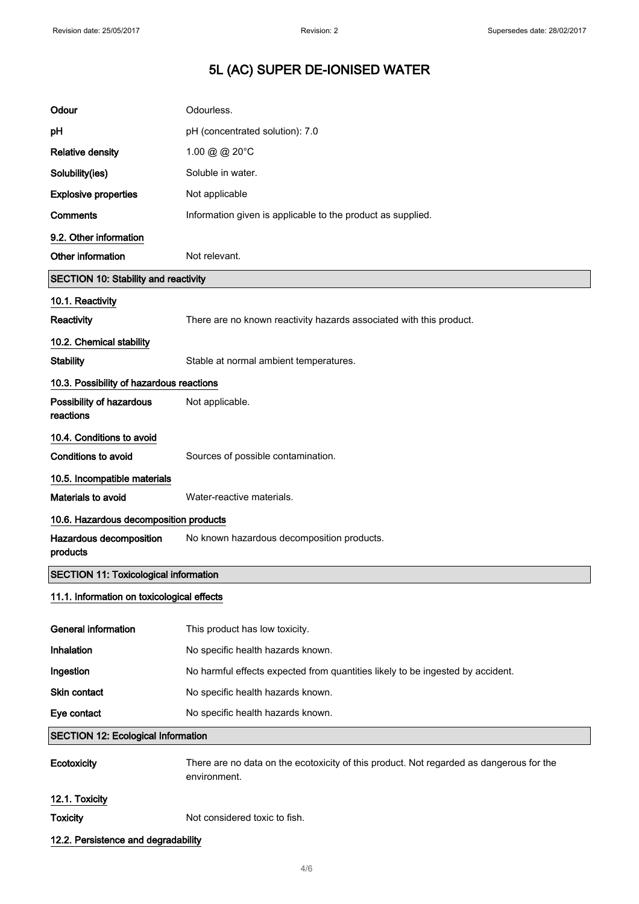| Odour                                        | Odourless.                                                                                              |
|----------------------------------------------|---------------------------------------------------------------------------------------------------------|
| рH                                           | pH (concentrated solution): 7.0                                                                         |
| <b>Relative density</b>                      | 1.00 @ @ 20°C                                                                                           |
| Solubility(ies)                              | Soluble in water.                                                                                       |
| <b>Explosive properties</b>                  | Not applicable                                                                                          |
| Comments                                     | Information given is applicable to the product as supplied.                                             |
| 9.2. Other information                       |                                                                                                         |
| Other information                            | Not relevant.                                                                                           |
| <b>SECTION 10: Stability and reactivity</b>  |                                                                                                         |
| 10.1. Reactivity                             |                                                                                                         |
| Reactivity                                   | There are no known reactivity hazards associated with this product.                                     |
| 10.2. Chemical stability                     |                                                                                                         |
| <b>Stability</b>                             | Stable at normal ambient temperatures.                                                                  |
| 10.3. Possibility of hazardous reactions     |                                                                                                         |
| Possibility of hazardous<br>reactions        | Not applicable.                                                                                         |
| 10.4. Conditions to avoid                    |                                                                                                         |
| Conditions to avoid                          | Sources of possible contamination.                                                                      |
| 10.5. Incompatible materials                 |                                                                                                         |
| Materials to avoid                           | Water-reactive materials.                                                                               |
| 10.6. Hazardous decomposition products       |                                                                                                         |
| Hazardous decomposition<br>products          | No known hazardous decomposition products.                                                              |
| <b>SECTION 11: Toxicological information</b> |                                                                                                         |
| 11.1. Information on toxicological effects   |                                                                                                         |
| <b>General information</b>                   | This product has low toxicity.                                                                          |
| Inhalation                                   | No specific health hazards known.                                                                       |
| Ingestion                                    | No harmful effects expected from quantities likely to be ingested by accident.                          |
| Skin contact                                 | No specific health hazards known.                                                                       |
| Eye contact                                  | No specific health hazards known.                                                                       |
| <b>SECTION 12: Ecological Information</b>    |                                                                                                         |
| Ecotoxicity                                  | There are no data on the ecotoxicity of this product. Not regarded as dangerous for the<br>environment. |
| 12.1. Toxicity                               |                                                                                                         |
| <b>Toxicity</b>                              | Not considered toxic to fish.                                                                           |
| 12.2. Persistence and degradability          |                                                                                                         |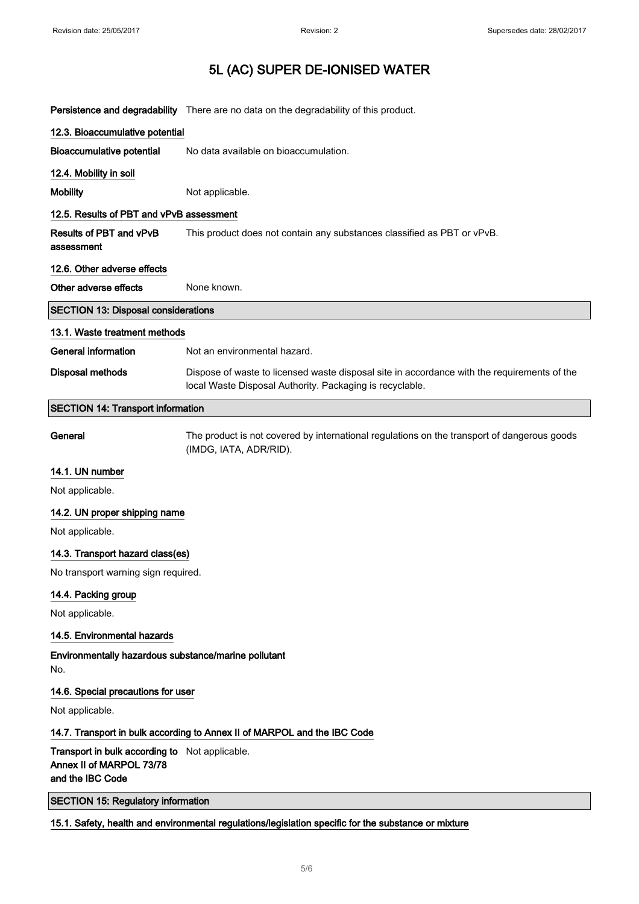Persistence and degradability There are no data on the degradability of this product.

| 12.3. Bioaccumulative potential            |                                                                                                                                                         |
|--------------------------------------------|---------------------------------------------------------------------------------------------------------------------------------------------------------|
| <b>Bioaccumulative potential</b>           | No data available on bioaccumulation.                                                                                                                   |
| 12.4. Mobility in soil                     |                                                                                                                                                         |
| <b>Mobility</b>                            | Not applicable.                                                                                                                                         |
| 12.5. Results of PBT and vPvB assessment   |                                                                                                                                                         |
| Results of PBT and vPvB<br>assessment      | This product does not contain any substances classified as PBT or vPvB.                                                                                 |
| 12.6. Other adverse effects                |                                                                                                                                                         |
| Other adverse effects                      | None known.                                                                                                                                             |
| <b>SECTION 13: Disposal considerations</b> |                                                                                                                                                         |
| 13.1. Waste treatment methods              |                                                                                                                                                         |
| <b>General information</b>                 | Not an environmental hazard.                                                                                                                            |
| <b>Disposal methods</b>                    | Dispose of waste to licensed waste disposal site in accordance with the requirements of the<br>local Waste Disposal Authority. Packaging is recyclable. |
| <b>SECTION 14: Transport information</b>   |                                                                                                                                                         |
| General                                    | The product is not covered by international regulations on the transport of dangerous goods<br>(IMDG, IATA, ADR/RID).                                   |
| 14.1. UN number                            |                                                                                                                                                         |
| Not applicable.                            |                                                                                                                                                         |
| 14.2. UN proper shipping name              |                                                                                                                                                         |
|                                            |                                                                                                                                                         |

Not applicable.

### 14.3. Transport hazard class(es)

No transport warning sign required.

### 14.4. Packing group

Not applicable.

### 14.5. Environmental hazards

Environmentally hazardous substance/marine pollutant No.

### 14.6. Special precautions for user

Not applicable.

### 14.7. Transport in bulk according to Annex II of MARPOL and the IBC Code

Transport in bulk according to Not applicable. Annex II of MARPOL 73/78 and the IBC Code

SECTION 15: Regulatory information

15.1. Safety, health and environmental regulations/legislation specific for the substance or mixture